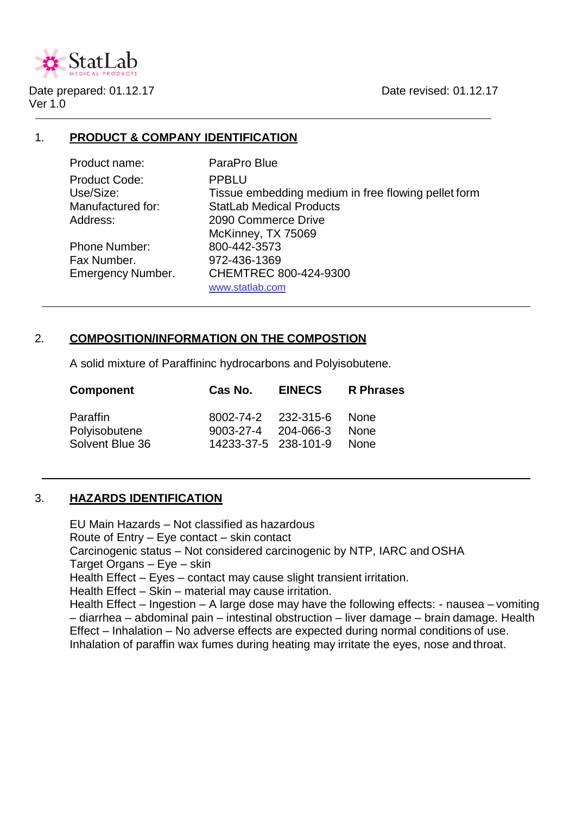

Date prepared: 01.12.17 Date revised: 01.12.17 Ver 1.0

# 1. **PRODUCT & COMPANY IDENTIFICATION**

Product name: ParaPro Blue Product Code: PPBLU

Phone Number: 800-442-3573 Fax Number. 972-436-1369

Use/Size: Tissue embedding medium in free flowing pellet form Manufactured for: StatLab Medical Products Address: 2090 Commerce Drive McKinney, TX 75069 Emergency Number. CHEMTREC 800-424-9300 www.statlab.com

# 2. **COMPOSITION/INFORMATION ON THE COMPOSTION**

A solid mixture of Paraffininc hydrocarbons and Polyisobutene.

| <b>Component</b>                             | Cas No.                                     | <b>EINECS</b>            | <b>R</b> Phrases           |
|----------------------------------------------|---------------------------------------------|--------------------------|----------------------------|
| Paraffin<br>Polyisobutene<br>Solvent Blue 36 | 9003-27-4 204-066-3<br>14233-37-5 238-101-9 | 8002-74-2 232-315-6 None | <b>None</b><br><b>None</b> |

# 3. **HAZARDS IDENTIFICATION**

EU Main Hazards – Not classified as hazardous Route of Entry – Eye contact – skin contact Carcinogenic status – Not considered carcinogenic by NTP, IARC and OSHA Target Organs – Eye – skin Health Effect – Eyes – contact may cause slight transient irritation. Health Effect – Skin – material may cause irritation. Health Effect – Ingestion – A large dose may have the following effects: - nausea – vomiting – diarrhea – abdominal pain – intestinal obstruction – liver damage – brain damage. Health Effect – Inhalation – No adverse effects are expected during normal conditions of use. Inhalation of paraffin wax fumes during heating may irritate the eyes, nose and throat.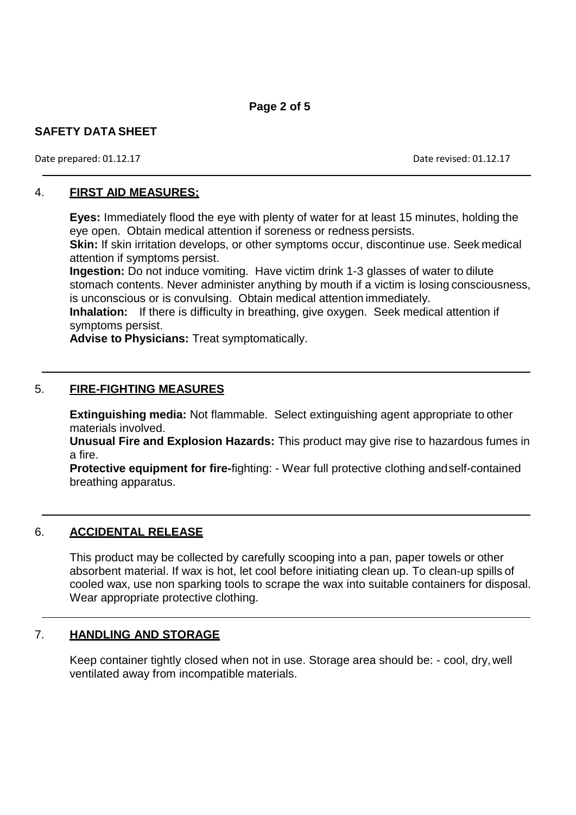Date prepared: 01.12.17 Date revised: 01.12.17

# 4. **FIRST AID MEASURES;**

**Eyes:** Immediately flood the eye with plenty of water for at least 15 minutes, holding the eye open. Obtain medical attention if soreness or redness persists.

**Skin:** If skin irritation develops, or other symptoms occur, discontinue use. Seek medical attention if symptoms persist.

**Ingestion:** Do not induce vomiting. Have victim drink 1-3 glasses of water to dilute stomach contents. Never administer anything by mouth if a victim is losing consciousness, is unconscious or is convulsing. Obtain medical attention immediately.

**Inhalation:** If there is difficulty in breathing, give oxygen. Seek medical attention if symptoms persist.

**Advise to Physicians:** Treat symptomatically.

# 5. **FIRE-FIGHTING MEASURES**

**Extinguishing media:** Not flammable. Select extinguishing agent appropriate to other materials involved.

**Unusual Fire and Explosion Hazards:** This product may give rise to hazardous fumes in a fire.

**Protective equipment for fire-**fighting: - Wear full protective clothing andself-contained breathing apparatus.

# 6. **ACCIDENTAL RELEASE**

This product may be collected by carefully scooping into a pan, paper towels or other absorbent material. If wax is hot, let cool before initiating clean up. To clean-up spills of cooled wax, use non sparking tools to scrape the wax into suitable containers for disposal. Wear appropriate protective clothing.

# 7. **HANDLING AND STORAGE**

Keep container tightly closed when not in use. Storage area should be: - cool, dry,well ventilated away from incompatible materials.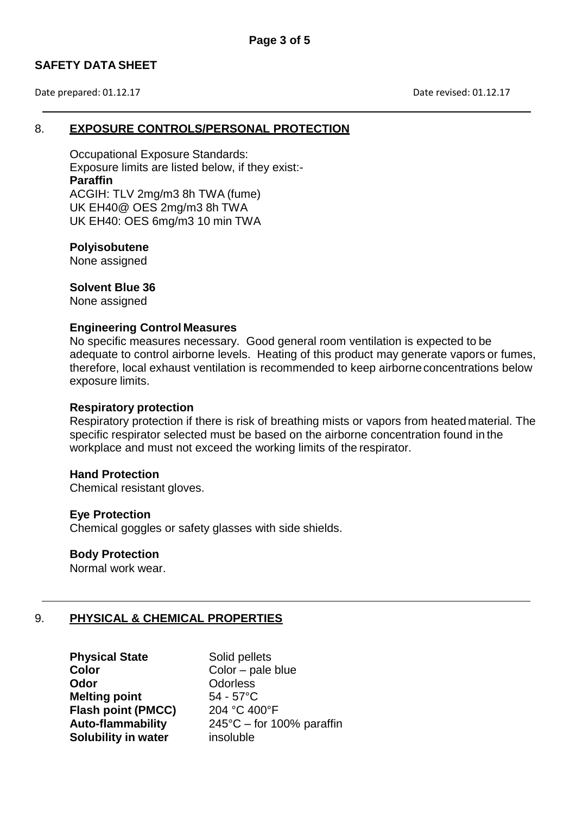Date prepared: 01.12.17 Date revised: 01.12.17

## 8. **EXPOSURE CONTROLS/PERSONAL PROTECTION**

Occupational Exposure Standards: Exposure limits are listed below, if they exist:- **Paraffin** ACGIH: TLV 2mg/m3 8h TWA (fume) UK EH40@ OES 2mg/m3 8h TWA UK EH40: OES 6mg/m3 10 min TWA

### **Polyisobutene**

None assigned

## **Solvent Blue 36**

None assigned

## **Engineering Control Measures**

No specific measures necessary. Good general room ventilation is expected to be adequate to control airborne levels. Heating of this product may generate vapors or fumes, therefore, local exhaust ventilation is recommended to keep airborneconcentrations below exposure limits.

#### **Respiratory protection**

Respiratory protection if there is risk of breathing mists or vapors from heated material. The specific respirator selected must be based on the airborne concentration found in the workplace and must not exceed the working limits of the respirator.

## **Hand Protection**

Chemical resistant gloves.

#### **Eye Protection**

Chemical goggles or safety glasses with side shields.

#### **Body Protection**

Normal work wear.

# 9. **PHYSICAL & CHEMICAL PROPERTIES**

**Color** Color – pale blue **Odor** Odorless **Melting point** 54 - 57°C **Flash point (PMCC)** 204 °C 400°F **Solubility in water** insoluble

**Physical State** Solid pellets **Auto-flammability** 245°C – for 100% paraffin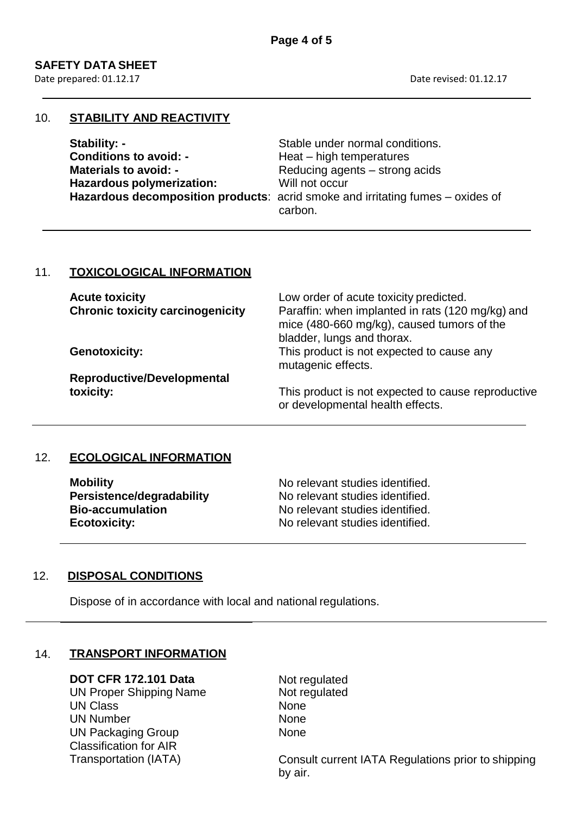Date prepared: 01.12.17 Date revised: 01.12.17

## 10. **STABILITY AND REACTIVITY**

| Stability: -                  | Stable under normal conditions.                                                |
|-------------------------------|--------------------------------------------------------------------------------|
| <b>Conditions to avoid: -</b> | Heat – high temperatures                                                       |
| <b>Materials to avoid: -</b>  | Reducing agents – strong acids                                                 |
| Hazardous polymerization:     | Will not occur                                                                 |
|                               | Hazardous decomposition products: acrid smoke and irritating fumes - oxides of |
|                               | carbon.                                                                        |

# 11. **TOXICOLOGICAL INFORMATION**

| <b>Acute toxicity</b><br><b>Chronic toxicity carcinogenicity</b> | Low order of acute toxicity predicted.<br>Paraffin: when implanted in rats (120 mg/kg) and<br>mice (480-660 mg/kg), caused tumors of the<br>bladder, lungs and thorax. |
|------------------------------------------------------------------|------------------------------------------------------------------------------------------------------------------------------------------------------------------------|
| <b>Genotoxicity:</b>                                             | This product is not expected to cause any<br>mutagenic effects.                                                                                                        |
| <b>Reproductive/Developmental</b>                                |                                                                                                                                                                        |
| toxicity:                                                        | This product is not expected to cause reproductive<br>or developmental health effects.                                                                                 |

# 12. **ECOLOGICAL INFORMATION**

| <b>Mobility</b>           | No relevant studies identified. |
|---------------------------|---------------------------------|
| Persistence/degradability | No relevant studies identified. |
| <b>Bio-accumulation</b>   | No relevant studies identified. |
| <b>Ecotoxicity:</b>       | No relevant studies identified. |

# 12. **DISPOSAL CONDITIONS**

Dispose of in accordance with local and national regulations.

## 14. **TRANSPORT INFORMATION**

UN Proper Shipping Name UN Class UN Number UN Packaging Group Classification for AIR

**DOT CFR 172.101 Data** Not regulated<br>
UN Proper Shipping Name Not regulated None None None

Transportation (IATA) Consult current IATA Regulations prior to shipping by air.